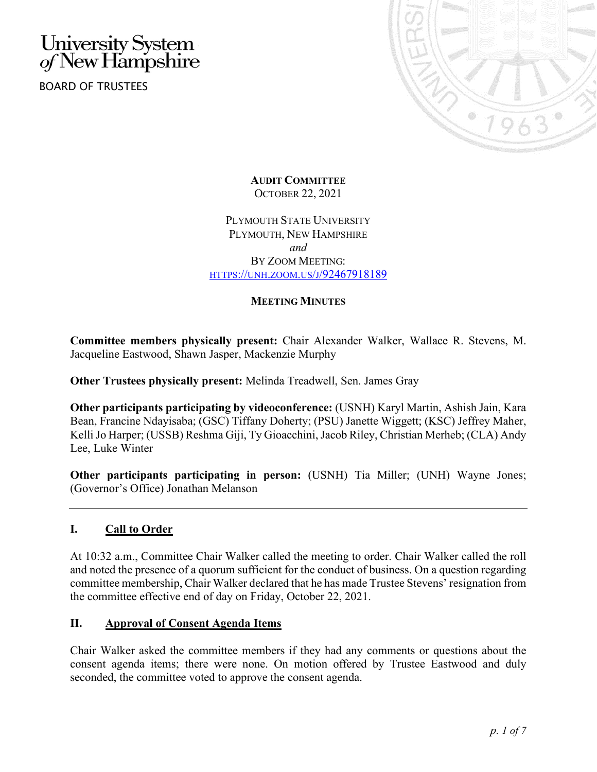# University System<br>of New Hampshire

BOARD OF TRUSTEES



**AUDIT COMMITTEE** OCTOBER 22, 2021

PLYMOUTH STATE UNIVERSITY PLYMOUTH, NEW HAMPSHIRE *and* BY ZOOM MEETING: [HTTPS://UNH.ZOOM.US/J/92467918189](https://unh.zoom.us/j/92467918189)

## **MEETING MINUTES**

**Committee members physically present:** Chair Alexander Walker, Wallace R. Stevens, M. Jacqueline Eastwood, Shawn Jasper, Mackenzie Murphy

**Other Trustees physically present:** Melinda Treadwell, Sen. James Gray

**Other participants participating by videoconference:** (USNH) Karyl Martin, Ashish Jain, Kara Bean, Francine Ndayisaba; (GSC) Tiffany Doherty; (PSU) Janette Wiggett; (KSC) Jeffrey Maher, Kelli Jo Harper; (USSB) Reshma Giji, Ty Gioacchini, Jacob Riley, Christian Merheb; (CLA) Andy Lee, Luke Winter

**Other participants participating in person:** (USNH) Tia Miller; (UNH) Wayne Jones; (Governor's Office) Jonathan Melanson

# **I. Call to Order**

At 10:32 a.m., Committee Chair Walker called the meeting to order. Chair Walker called the roll and noted the presence of a quorum sufficient for the conduct of business. On a question regarding committee membership, Chair Walker declared that he has made Trustee Stevens' resignation from the committee effective end of day on Friday, October 22, 2021.

## **II. Approval of Consent Agenda Items**

Chair Walker asked the committee members if they had any comments or questions about the consent agenda items; there were none. On motion offered by Trustee Eastwood and duly seconded, the committee voted to approve the consent agenda.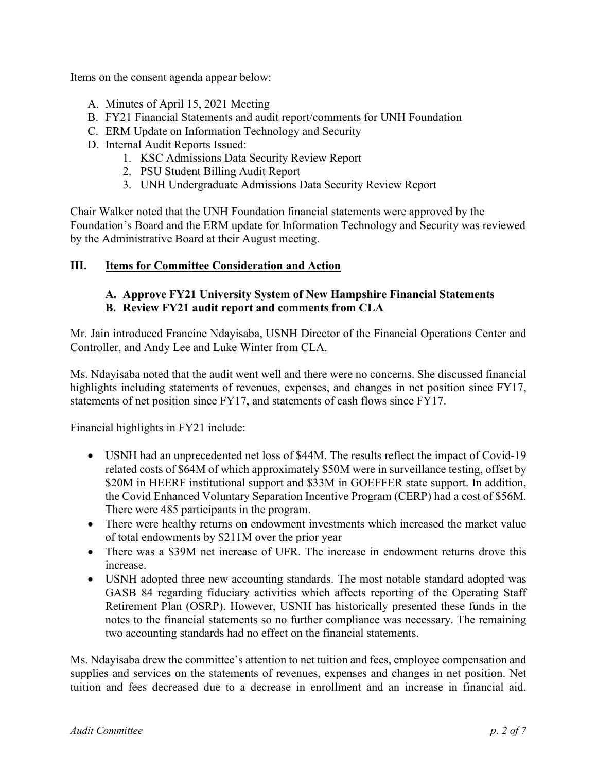Items on the consent agenda appear below:

- A. Minutes of April 15, 2021 Meeting
- B. FY21 Financial Statements and audit report/comments for UNH Foundation
- C. ERM Update on Information Technology and Security
- D. Internal Audit Reports Issued:
	- 1. KSC Admissions Data Security Review Report
	- 2. PSU Student Billing Audit Report
	- 3. UNH Undergraduate Admissions Data Security Review Report

Chair Walker noted that the UNH Foundation financial statements were approved by the Foundation's Board and the ERM update for Information Technology and Security was reviewed by the Administrative Board at their August meeting.

**III. Items for Committee Consideration and Action**

## **A. Approve FY21 University System of New Hampshire Financial Statements B. Review FY21 audit report and comments from CLA**

Mr. Jain introduced Francine Ndayisaba, USNH Director of the Financial Operations Center and Controller, and Andy Lee and Luke Winter from CLA.

Ms. Ndayisaba noted that the audit went well and there were no concerns. She discussed financial highlights including statements of revenues, expenses, and changes in net position since FY17, statements of net position since FY17, and statements of cash flows since FY17.

Financial highlights in FY21 include:

- USNH had an unprecedented net loss of \$44M. The results reflect the impact of Covid-19 related costs of \$64M of which approximately \$50M were in surveillance testing, offset by \$20M in HEERF institutional support and \$33M in GOEFFER state support. In addition, the Covid Enhanced Voluntary Separation Incentive Program (CERP) had a cost of \$56M. There were 485 participants in the program.
- There were healthy returns on endowment investments which increased the market value of total endowments by \$211M over the prior year
- There was a \$39M net increase of UFR. The increase in endowment returns drove this increase.
- USNH adopted three new accounting standards. The most notable standard adopted was GASB 84 regarding fiduciary activities which affects reporting of the Operating Staff Retirement Plan (OSRP). However, USNH has historically presented these funds in the notes to the financial statements so no further compliance was necessary. The remaining two accounting standards had no effect on the financial statements.

Ms. Ndayisaba drew the committee's attention to net tuition and fees, employee compensation and supplies and services on the statements of revenues, expenses and changes in net position. Net tuition and fees decreased due to a decrease in enrollment and an increase in financial aid.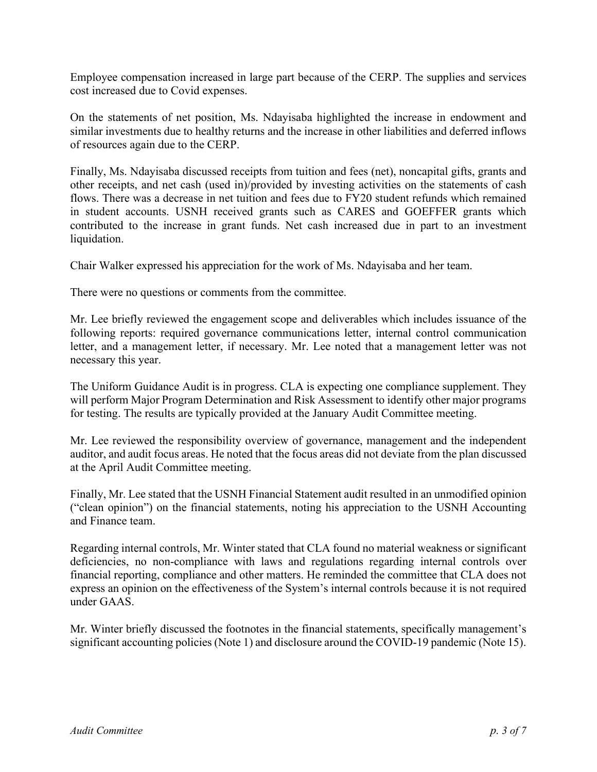Employee compensation increased in large part because of the CERP. The supplies and services cost increased due to Covid expenses.

On the statements of net position, Ms. Ndayisaba highlighted the increase in endowment and similar investments due to healthy returns and the increase in other liabilities and deferred inflows of resources again due to the CERP.

Finally, Ms. Ndayisaba discussed receipts from tuition and fees (net), noncapital gifts, grants and other receipts, and net cash (used in)/provided by investing activities on the statements of cash flows. There was a decrease in net tuition and fees due to FY20 student refunds which remained in student accounts. USNH received grants such as CARES and GOEFFER grants which contributed to the increase in grant funds. Net cash increased due in part to an investment liquidation.

Chair Walker expressed his appreciation for the work of Ms. Ndayisaba and her team.

There were no questions or comments from the committee.

Mr. Lee briefly reviewed the engagement scope and deliverables which includes issuance of the following reports: required governance communications letter, internal control communication letter, and a management letter, if necessary. Mr. Lee noted that a management letter was not necessary this year.

The Uniform Guidance Audit is in progress. CLA is expecting one compliance supplement. They will perform Major Program Determination and Risk Assessment to identify other major programs for testing. The results are typically provided at the January Audit Committee meeting.

Mr. Lee reviewed the responsibility overview of governance, management and the independent auditor, and audit focus areas. He noted that the focus areas did not deviate from the plan discussed at the April Audit Committee meeting.

Finally, Mr. Lee stated that the USNH Financial Statement audit resulted in an unmodified opinion ("clean opinion") on the financial statements, noting his appreciation to the USNH Accounting and Finance team.

Regarding internal controls, Mr. Winter stated that CLA found no material weakness or significant deficiencies, no non‐compliance with laws and regulations regarding internal controls over financial reporting, compliance and other matters. He reminded the committee that CLA does not express an opinion on the effectiveness of the System's internal controls because it is not required under GAAS.

Mr. Winter briefly discussed the footnotes in the financial statements, specifically management's significant accounting policies (Note 1) and disclosure around the COVID‐19 pandemic (Note 15).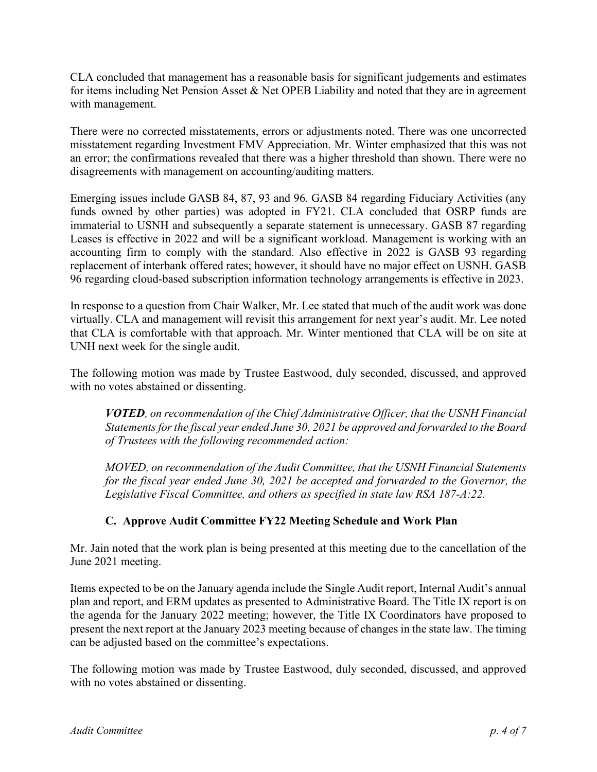CLA concluded that management has a reasonable basis for significant judgements and estimates for items including Net Pension Asset & Net OPEB Liability and noted that they are in agreement with management.

There were no corrected misstatements, errors or adjustments noted. There was one uncorrected misstatement regarding Investment FMV Appreciation. Mr. Winter emphasized that this was not an error; the confirmations revealed that there was a higher threshold than shown. There were no disagreements with management on accounting/auditing matters.

Emerging issues include GASB 84, 87, 93 and 96. GASB 84 regarding Fiduciary Activities (any funds owned by other parties) was adopted in FY21. CLA concluded that OSRP funds are immaterial to USNH and subsequently a separate statement is unnecessary. GASB 87 regarding Leases is effective in 2022 and will be a significant workload. Management is working with an accounting firm to comply with the standard. Also effective in 2022 is GASB 93 regarding replacement of interbank offered rates; however, it should have no major effect on USNH. GASB 96 regarding cloud-based subscription information technology arrangements is effective in 2023.

In response to a question from Chair Walker, Mr. Lee stated that much of the audit work was done virtually. CLA and management will revisit this arrangement for next year's audit. Mr. Lee noted that CLA is comfortable with that approach. Mr. Winter mentioned that CLA will be on site at UNH next week for the single audit.

The following motion was made by Trustee Eastwood, duly seconded, discussed, and approved with no votes abstained or dissenting.

*VOTED, on recommendation of the Chief Administrative Officer, that the USNH Financial Statements for the fiscal year ended June 30, 2021 be approved and forwarded to the Board of Trustees with the following recommended action:*

*MOVED, on recommendation of the Audit Committee, that the USNH Financial Statements for the fiscal year ended June 30, 2021 be accepted and forwarded to the Governor, the Legislative Fiscal Committee, and others as specified in state law RSA 187-A:22.*

# **C. Approve Audit Committee FY22 Meeting Schedule and Work Plan**

Mr. Jain noted that the work plan is being presented at this meeting due to the cancellation of the June 2021 meeting.

Items expected to be on the January agenda include the Single Audit report, Internal Audit's annual plan and report, and ERM updates as presented to Administrative Board. The Title IX report is on the agenda for the January 2022 meeting; however, the Title IX Coordinators have proposed to present the next report at the January 2023 meeting because of changes in the state law. The timing can be adjusted based on the committee's expectations.

The following motion was made by Trustee Eastwood, duly seconded, discussed, and approved with no votes abstained or dissenting.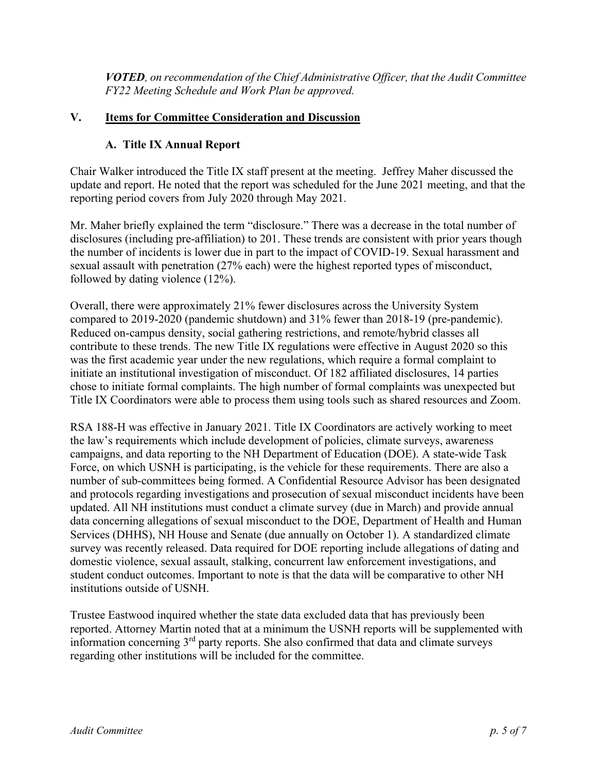*VOTED, on recommendation of the Chief Administrative Officer, that the Audit Committee FY22 Meeting Schedule and Work Plan be approved.*

#### **V. Items for Committee Consideration and Discussion**

#### **A. Title IX Annual Report**

Chair Walker introduced the Title IX staff present at the meeting. Jeffrey Maher discussed the update and report. He noted that the report was scheduled for the June 2021 meeting, and that the reporting period covers from July 2020 through May 2021.

Mr. Maher briefly explained the term "disclosure." There was a decrease in the total number of disclosures (including pre-affiliation) to 201. These trends are consistent with prior years though the number of incidents is lower due in part to the impact of COVID-19. Sexual harassment and sexual assault with penetration (27% each) were the highest reported types of misconduct, followed by dating violence (12%).

Overall, there were approximately 21% fewer disclosures across the University System compared to 2019-2020 (pandemic shutdown) and 31% fewer than 2018-19 (pre-pandemic). Reduced on-campus density, social gathering restrictions, and remote/hybrid classes all contribute to these trends. The new Title IX regulations were effective in August 2020 so this was the first academic year under the new regulations, which require a formal complaint to initiate an institutional investigation of misconduct. Of 182 affiliated disclosures, 14 parties chose to initiate formal complaints. The high number of formal complaints was unexpected but Title IX Coordinators were able to process them using tools such as shared resources and Zoom.

RSA 188-H was effective in January 2021. Title IX Coordinators are actively working to meet the law's requirements which include development of policies, climate surveys, awareness campaigns, and data reporting to the NH Department of Education (DOE). A state-wide Task Force, on which USNH is participating, is the vehicle for these requirements. There are also a number of sub-committees being formed. A Confidential Resource Advisor has been designated and protocols regarding investigations and prosecution of sexual misconduct incidents have been updated. All NH institutions must conduct a climate survey (due in March) and provide annual data concerning allegations of sexual misconduct to the DOE, Department of Health and Human Services (DHHS), NH House and Senate (due annually on October 1). A standardized climate survey was recently released. Data required for DOE reporting include allegations of dating and domestic violence, sexual assault, stalking, concurrent law enforcement investigations, and student conduct outcomes. Important to note is that the data will be comparative to other NH institutions outside of USNH.

Trustee Eastwood inquired whether the state data excluded data that has previously been reported. Attorney Martin noted that at a minimum the USNH reports will be supplemented with information concerning  $3<sup>rd</sup>$  party reports. She also confirmed that data and climate surveys regarding other institutions will be included for the committee.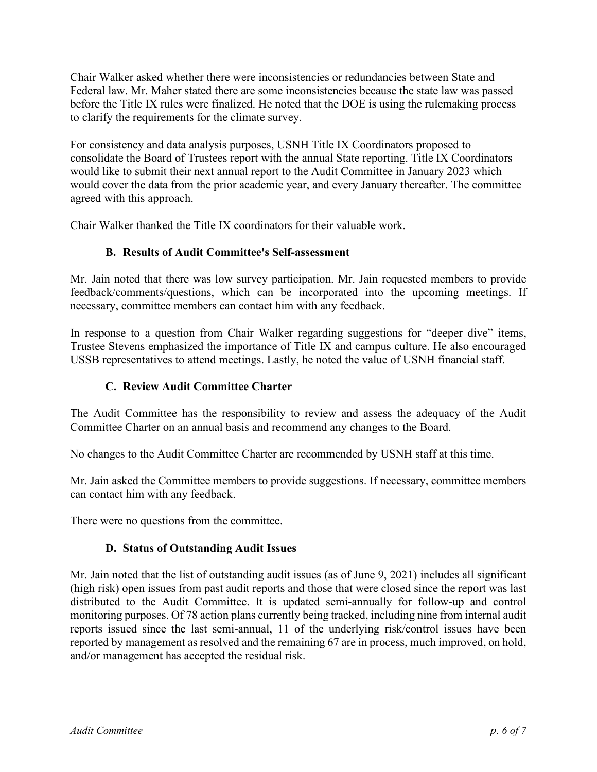Chair Walker asked whether there were inconsistencies or redundancies between State and Federal law. Mr. Maher stated there are some inconsistencies because the state law was passed before the Title IX rules were finalized. He noted that the DOE is using the rulemaking process to clarify the requirements for the climate survey.

For consistency and data analysis purposes, USNH Title IX Coordinators proposed to consolidate the Board of Trustees report with the annual State reporting. Title IX Coordinators would like to submit their next annual report to the Audit Committee in January 2023 which would cover the data from the prior academic year, and every January thereafter. The committee agreed with this approach.

Chair Walker thanked the Title IX coordinators for their valuable work.

## **B. Results of Audit Committee's Self-assessment**

Mr. Jain noted that there was low survey participation. Mr. Jain requested members to provide feedback/comments/questions, which can be incorporated into the upcoming meetings. If necessary, committee members can contact him with any feedback.

In response to a question from Chair Walker regarding suggestions for "deeper dive" items, Trustee Stevens emphasized the importance of Title IX and campus culture. He also encouraged USSB representatives to attend meetings. Lastly, he noted the value of USNH financial staff.

## **C. Review Audit Committee Charter**

The Audit Committee has the responsibility to review and assess the adequacy of the Audit Committee Charter on an annual basis and recommend any changes to the Board.

No changes to the Audit Committee Charter are recommended by USNH staff at this time.

Mr. Jain asked the Committee members to provide suggestions. If necessary, committee members can contact him with any feedback.

There were no questions from the committee.

## **D. Status of Outstanding Audit Issues**

Mr. Jain noted that the list of outstanding audit issues (as of June 9, 2021) includes all significant (high risk) open issues from past audit reports and those that were closed since the report was last distributed to the Audit Committee. It is updated semi-annually for follow-up and control monitoring purposes. Of 78 action plans currently being tracked, including nine from internal audit reports issued since the last semi-annual, 11 of the underlying risk/control issues have been reported by management as resolved and the remaining 67 are in process, much improved, on hold, and/or management has accepted the residual risk.